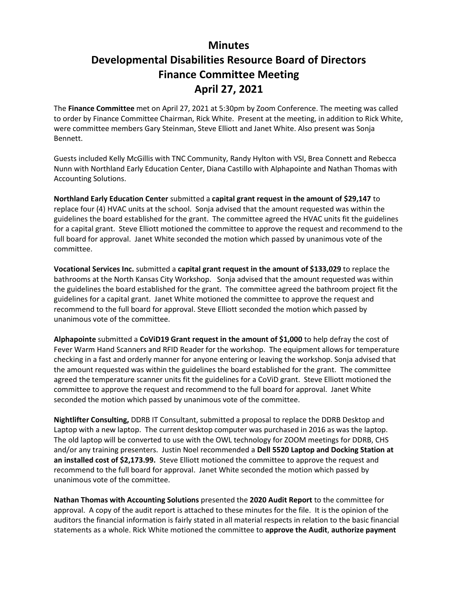## **Minutes Developmental Disabilities Resource Board of Directors Finance Committee Meeting April 27, 2021**

The **Finance Committee** met on April 27, 2021 at 5:30pm by Zoom Conference. The meeting was called to order by Finance Committee Chairman, Rick White. Present at the meeting, in addition to Rick White, were committee members Gary Steinman, Steve Elliott and Janet White. Also present was Sonja Bennett.

Guests included Kelly McGillis with TNC Community, Randy Hylton with VSI, Brea Connett and Rebecca Nunn with Northland Early Education Center, Diana Castillo with Alphapointe and Nathan Thomas with Accounting Solutions.

**Northland Early Education Center** submitted a **capital grant request in the amount of \$29,147** to replace four (4) HVAC units at the school. Sonja advised that the amount requested was within the guidelines the board established for the grant. The committee agreed the HVAC units fit the guidelines for a capital grant. Steve Elliott motioned the committee to approve the request and recommend to the full board for approval. Janet White seconded the motion which passed by unanimous vote of the committee.

**Vocational Services Inc.** submitted a **capital grant request in the amount of \$133,029** to replace the bathrooms at the North Kansas City Workshop. Sonja advised that the amount requested was within the guidelines the board established for the grant. The committee agreed the bathroom project fit the guidelines for a capital grant. Janet White motioned the committee to approve the request and recommend to the full board for approval. Steve Elliott seconded the motion which passed by unanimous vote of the committee.

**Alphapointe** submitted a **CoViD19 Grant request in the amount of \$1,000** to help defray the cost of Fever Warm Hand Scanners and RFID Reader for the workshop. The equipment allows for temperature checking in a fast and orderly manner for anyone entering or leaving the workshop. Sonja advised that the amount requested was within the guidelines the board established for the grant. The committee agreed the temperature scanner units fit the guidelines for a CoViD grant. Steve Elliott motioned the committee to approve the request and recommend to the full board for approval. Janet White seconded the motion which passed by unanimous vote of the committee.

**Nightlifter Consulting,** DDRB IT Consultant, submitted a proposal to replace the DDRB Desktop and Laptop with a new laptop. The current desktop computer was purchased in 2016 as was the laptop. The old laptop will be converted to use with the OWL technology for ZOOM meetings for DDRB, CHS and/or any training presenters. Justin Noel recommended a **Dell 5520 Laptop and Docking Station at an installed cost of \$2,173.99.** Steve Elliott motioned the committee to approve the request and recommend to the full board for approval. Janet White seconded the motion which passed by unanimous vote of the committee.

**Nathan Thomas with Accounting Solutions** presented the **2020 Audit Report** to the committee for approval. A copy of the audit report is attached to these minutes for the file. It is the opinion of the auditors the financial information is fairly stated in all material respects in relation to the basic financial statements as a whole. Rick White motioned the committee to **approve the Audit**, **authorize payment**